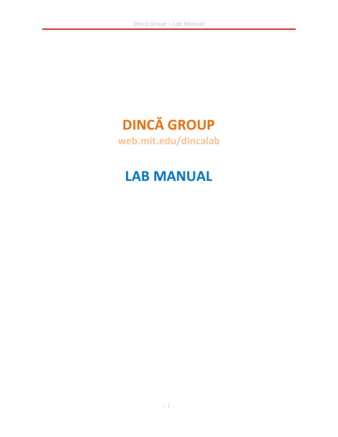# DINCĂ GROUP

web.mit.edu/dincalab

## LAB MANUAL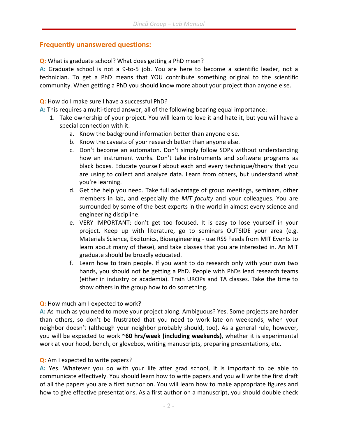#### Frequently unanswered questions:

Q: What is graduate school? What does getting a PhD mean?

A: Graduate school is not a 9-to-5 job. You are here to become a scientific leader, not a technician. To get a PhD means that YOU contribute something original to the scientific community. When getting a PhD you should know more about your project than anyone else.

#### Q: How do I make sure I have a successful PhD?

A: This requires a multi-tiered answer, all of the following bearing equal importance:

- 1. Take ownership of your project. You will learn to love it and hate it, but you will have a special connection with it.
	- a. Know the background information better than anyone else.
	- b. Know the caveats of your research better than anyone else.
	- c. Don't become an automaton. Don't simply follow SOPs without understanding how an instrument works. Don't take instruments and software programs as black boxes. Educate yourself about each and every technique/theory that you are using to collect and analyze data. Learn from others, but understand what you're learning.
	- d. Get the help you need. Take full advantage of group meetings, seminars, other members in lab, and especially the MIT faculty and your colleagues. You are surrounded by some of the best experts in the world in almost every science and engineering discipline.
	- e. VERY IMPORTANT: don't get too focused. It is easy to lose yourself in your project. Keep up with literature, go to seminars OUTSIDE your area (e.g. Materials Science, Excitonics, Bioengineering - use RSS Feeds from MIT Events to learn about many of these), and take classes that you are interested in. An MIT graduate should be broadly educated.
	- f. Learn how to train people. If you want to do research only with your own two hands, you should not be getting a PhD. People with PhDs lead research teams (either in industry or academia). Train UROPs and TA classes. Take the time to show others in the group how to do something.

#### Q: How much am I expected to work?

A: As much as you need to move your project along. Ambiguous? Yes. Some projects are harder than others, so don't be frustrated that you need to work late on weekends, when your neighbor doesn't (although your neighbor probably should, too). As a general rule, however, you will be expected to work ~60 hrs/week (including weekends), whether it is experimental work at your hood, bench, or glovebox, writing manuscripts, preparing presentations, etc.

#### Q: Am I expected to write papers?

A: Yes. Whatever you do with your life after grad school, it is important to be able to communicate effectively. You should learn how to write papers and you will write the first draft of all the papers you are a first author on. You will learn how to make appropriate figures and how to give effective presentations. As a first author on a manuscript, you should double check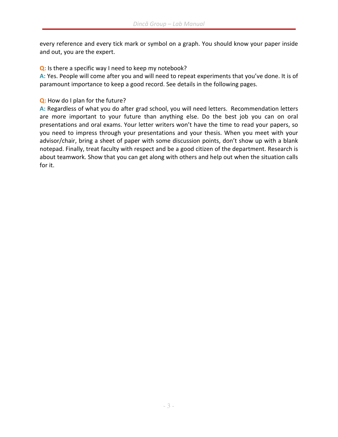every reference and every tick mark or symbol on a graph. You should know your paper inside and out, you are the expert.

Q: Is there a specific way I need to keep my notebook?

A: Yes. People will come after you and will need to repeat experiments that you've done. It is of paramount importance to keep a good record. See details in the following pages.

Q: How do I plan for the future?

A: Regardless of what you do after grad school, you will need letters. Recommendation letters are more important to your future than anything else. Do the best job you can on oral presentations and oral exams. Your letter writers won't have the time to read your papers, so you need to impress through your presentations and your thesis. When you meet with your advisor/chair, bring a sheet of paper with some discussion points, don't show up with a blank notepad. Finally, treat faculty with respect and be a good citizen of the department. Research is about teamwork. Show that you can get along with others and help out when the situation calls for it.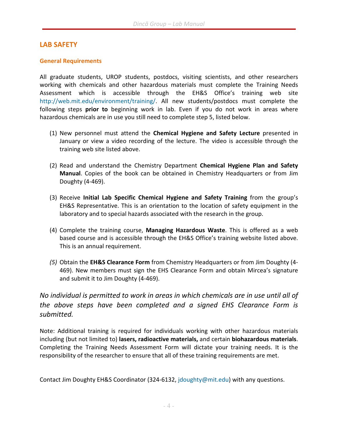### LAB SAFETY

#### General Requirements

All graduate students, UROP students, postdocs, visiting scientists, and other researchers working with chemicals and other hazardous materials must complete the Training Needs Assessment which is accessible through the EH&S Office's training web site http://web.mit.edu/environment/training/. All new students/postdocs must complete the following steps prior to beginning work in lab. Even if you do not work in areas where hazardous chemicals are in use you still need to complete step 5, listed below.

- (1) New personnel must attend the Chemical Hygiene and Safety Lecture presented in January or view a video recording of the lecture. The video is accessible through the training web site listed above.
- (2) Read and understand the Chemistry Department Chemical Hygiene Plan and Safety Manual. Copies of the book can be obtained in Chemistry Headquarters or from Jim Doughty (4-469).
- (3) Receive Initial Lab Specific Chemical Hygiene and Safety Training from the group's EH&S Representative. This is an orientation to the location of safety equipment in the laboratory and to special hazards associated with the research in the group.
- (4) Complete the training course, Managing Hazardous Waste. This is offered as a web based course and is accessible through the EH&S Office's training website listed above. This is an annual requirement.
- (5) Obtain the **EH&S Clearance Form** from Chemistry Headquarters or from Jim Doughty (4-469). New members must sign the EHS Clearance Form and obtain Mircea's signature and submit it to Jim Doughty (4-469).

No individual is permitted to work in areas in which chemicals are in use until all of the above steps have been completed and a signed EHS Clearance Form is submitted.

Note: Additional training is required for individuals working with other hazardous materials including (but not limited to) lasers, radioactive materials, and certain biohazardous materials. Completing the Training Needs Assessment Form will dictate your training needs. It is the responsibility of the researcher to ensure that all of these training requirements are met.

Contact Jim Doughty EH&S Coordinator (324-6132, jdoughty@mit.edu) with any questions.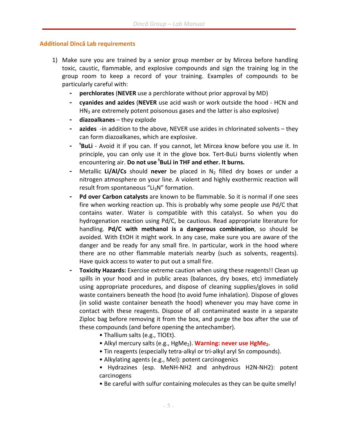#### Additional Dincă Lab requirements

- 1) Make sure you are trained by a senior group member or by Mircea before handling toxic, caustic, flammable, and explosive compounds and sign the training log in the group room to keep a record of your training. Examples of compounds to be particularly careful with:
	- **perchlorates (NEVER** use a perchlorate without prior approval by MD)
	- cyanides and azides (NEVER use acid wash or work outside the hood HCN and  $HN<sub>3</sub>$  are extremely potent poisonous gases and the latter is also explosive)
	- diazoalkanes they explode
	- azides -in addition to the above, NEVER use azides in chlorinated solvents they can form diazoalkanes, which are explosive.
	- <sup>t</sup>BuLi Avoid it if you can. If you cannot, let Mircea know before you use it. In principle, you can only use it in the glove box. Tert-BuLi burns violently when encountering air. Do not use <sup>t</sup>BuLi in THF and ether. It burns.
	- Metallic Li/Al/Cs should never be placed in  $N_2$  filled dry boxes or under a nitrogen atmosphere on your line. A violent and highly exothermic reaction will result from spontaneous "Li<sub>3</sub>N" formation.
	- Pd over Carbon catalysts are known to be flammable. So it is normal if one sees fire when working reaction up. This is probably why some people use Pd/C that contains water. Water is compatible with this catalyst. So when you do hydrogenation reaction using Pd/C, be cautious. Read appropriate literature for handling. Pd/C with methanol is a dangerous combination, so should be avoided. With EtOH it might work. In any case, make sure you are aware of the danger and be ready for any small fire. In particular, work in the hood where there are no other flammable materials nearby (such as solvents, reagents). Have quick access to water to put out a small fire.
	- Toxicity Hazards: Exercise extreme caution when using these reagents!! Clean up spills in your hood and in public areas (balances, dry boxes, etc) immediately using appropriate procedures, and dispose of cleaning supplies/gloves in solid waste containers beneath the hood (to avoid fume inhalation). Dispose of gloves (in solid waste container beneath the hood) whenever you may have come in contact with these reagents. Dispose of all contaminated waste in a separate Ziploc bag before removing it from the box, and purge the box after the use of these compounds (and before opening the antechamber).
		- Thallium salts (e.g., TlOEt).
		- Alkyl mercury salts (e.g., HgMe<sub>2</sub>). Warning: never use HgMe<sub>2</sub>.
		- Tin reagents (especially tetra-alkyl or tri-alkyl aryl Sn compounds).
		- Alkylating agents (e.g., MeI): potent carcinogenics
		- Hydrazines (esp. MeNH-NH2 and anhydrous H2N-NH2): potent carcinogens
		- Be careful with sulfur containing molecules as they can be quite smelly!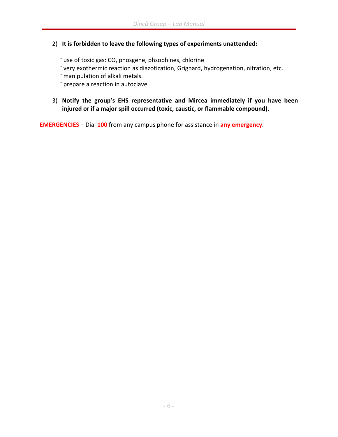### 2) It is forbidden to leave the following types of experiments unattended:

° use of toxic gas: CO, phosgene, phsophines, chlorine

- ° very exothermic reaction as diazotization, Grignard, hydrogenation, nitration, etc.
- ° manipulation of alkali metals.

° prepare a reaction in autoclave

3) Notify the group's EHS representative and Mircea immediately if you have been injured or if a major spill occurred (toxic, caustic, or flammable compound).

EMERGENCIES – Dial 100 from any campus phone for assistance in any emergency.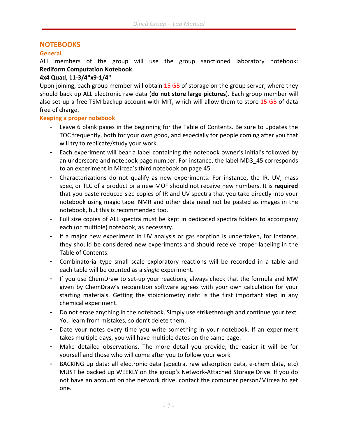### NOTEBOOKS

#### General

ALL members of the group will use the group sanctioned laboratory notebook: Rediform Computation Notebook

#### 4x4 Quad, 11-3/4"x9-1/4"

Upon joining, each group member will obtain 15 GB of storage on the group server, where they should back up ALL electronic raw data (do not store large pictures). Each group member will also set-up a free TSM backup account with MIT, which will allow them to store 15 GB of data free of charge.

#### Keeping a proper notebook

- Leave 6 blank pages in the beginning for the Table of Contents. Be sure to updates the TOC frequently, both for your own good, and especially for people coming after you that will try to replicate/study your work.
- Each experiment will bear a label containing the notebook owner's initial's followed by an underscore and notebook page number. For instance, the label MD3\_45 corresponds to an experiment in Mircea's third notebook on page 45.
- Characterizations do not qualify as new experiments. For instance, the IR, UV, mass spec, or TLC of a product or a new MOF should not receive new numbers. It is required that you paste reduced size copies of IR and UV spectra that you take directly into your notebook using magic tape. NMR and other data need not be pasted as images in the notebook, but this is recommended too.
- Full size copies of ALL spectra must be kept in dedicated spectra folders to accompany each (or multiple) notebook, as necessary.
- If a major new experiment in UV analysis or gas sorption is undertaken, for instance, they should be considered new experiments and should receive proper labeling in the Table of Contents.
- Combinatorial-type small scale exploratory reactions will be recorded in a table and each table will be counted as a single experiment.
- If you use ChemDraw to set-up your reactions, always check that the formula and MW given by ChemDraw's recognition software agrees with your own calculation for your starting materials. Getting the stoichiometry right is the first important step in any chemical experiment.
- Do not erase anything in the notebook. Simply use strikethrough and continue your text. You learn from mistakes, so don't delete them.
- Date your notes every time you write something in your notebook. If an experiment takes multiple days, you will have multiple dates on the same page.
- Make detailed observations. The more detail you provide, the easier it will be for yourself and those who will come after you to follow your work.
- BACKING up data: all electronic data (spectra, raw adsorption data, e-chem data, etc) MUST be backed up WEEKLY on the group's Network-Attached Storage Drive. If you do not have an account on the network drive, contact the computer person/Mircea to get one.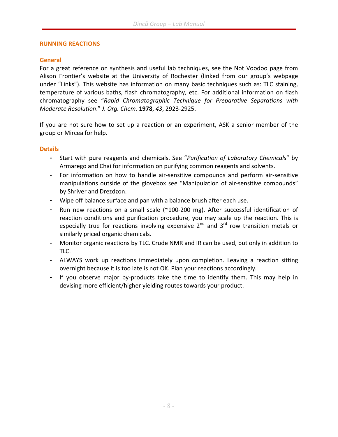#### RUNNING REACTIONS

#### General

For a great reference on synthesis and useful lab techniques, see the Not Voodoo page from Alison Frontier's website at the University of Rochester (linked from our group's webpage under "Links"). This website has information on many basic techniques such as: TLC staining, temperature of various baths, flash chromatography, etc. For additional information on flash chromatography see "Rapid Chromatographic Technique for Preparative Separations with Moderate Resolution." J. Org. Chem. 1978, 43, 2923-2925.

If you are not sure how to set up a reaction or an experiment, ASK a senior member of the group or Mircea for help.

#### **Details**

- Start with pure reagents and chemicals. See "Purification of Laboratory Chemicals" by Armarego and Chai for information on purifying common reagents and solvents.
- For information on how to handle air-sensitive compounds and perform air-sensitive manipulations outside of the glovebox see "Manipulation of air-sensitive compounds" by Shriver and Drezdzon.
- Wipe off balance surface and pan with a balance brush after each use.
- Run new reactions on a small scale (~100-200 mg). After successful identification of reaction conditions and purification procedure, you may scale up the reaction. This is especially true for reactions involving expensive  $2^{nd}$  and  $3^{rd}$  row transition metals or similarly priced organic chemicals.
- Monitor organic reactions by TLC. Crude NMR and IR can be used, but only in addition to TLC.
- ALWAYS work up reactions immediately upon completion. Leaving a reaction sitting overnight because it is too late is not OK. Plan your reactions accordingly.
- If you observe major by-products take the time to identify them. This may help in devising more efficient/higher yielding routes towards your product.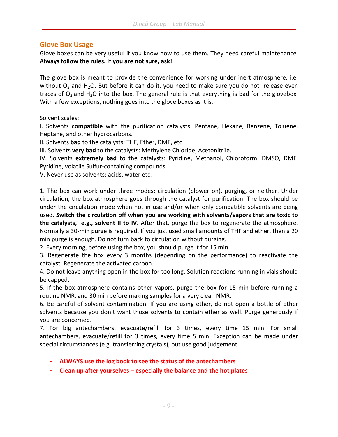#### Glove Box Usage

Glove boxes can be very useful if you know how to use them. They need careful maintenance. Always follow the rules. If you are not sure, ask!

The glove box is meant to provide the convenience for working under inert atmosphere, i.e. without  $O_2$  and  $H_2O$ . But before it can do it, you need to make sure you do not release even traces of  $O_2$  and H<sub>2</sub>O into the box. The general rule is that everything is bad for the glovebox. With a few exceptions, nothing goes into the glove boxes as it is.

Solvent scales:

I. Solvents compatible with the purification catalysts: Pentane, Hexane, Benzene, Toluene, Heptane, and other hydrocarbons.

II. Solvents bad to the catalysts: THF, Ether, DME, etc.

III. Solvents very bad to the catalysts: Methylene Chloride, Acetonitrile.

IV. Solvents extremely bad to the catalysts: Pyridine, Methanol, Chloroform, DMSO, DMF, Pyridine, volatile Sulfur-containing compounds.

V. Never use as solvents: acids, water etc.

1. The box can work under three modes: circulation (blower on), purging, or neither. Under circulation, the box atmosphere goes through the catalyst for purification. The box should be under the circulation mode when not in use and/or when only compatible solvents are being used. Switch the circulation off when you are working with solvents/vapors that are toxic to the catalysts, e.g., solvent II to IV. After that, purge the box to regenerate the atmosphere. Normally a 30-min purge is required. If you just used small amounts of THF and ether, then a 20 min purge is enough. Do not turn back to circulation without purging.

2. Every morning, before using the box, you should purge it for 15 min.

3. Regenerate the box every 3 months (depending on the performance) to reactivate the catalyst. Regenerate the activated carbon.

4. Do not leave anything open in the box for too long. Solution reactions running in vials should be capped.

5. If the box atmosphere contains other vapors, purge the box for 15 min before running a routine NMR, and 30 min before making samples for a very clean NMR.

6. Be careful of solvent contamination. If you are using ether, do not open a bottle of other solvents because you don't want those solvents to contain ether as well. Purge generously if you are concerned.

7. For big antechambers, evacuate/refill for 3 times, every time 15 min. For small antechambers, evacuate/refill for 3 times, every time 5 min. Exception can be made under special circumstances (e.g. transferring crystals), but use good judgement.

- ALWAYS use the log book to see the status of the antechambers
- Clean up after yourselves especially the balance and the hot plates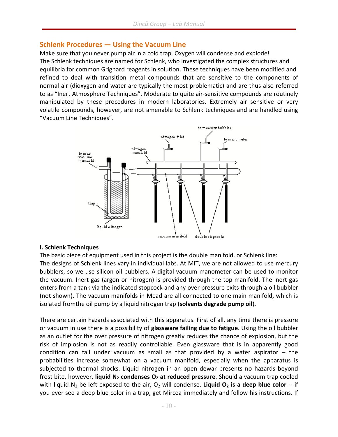### Schlenk Procedures — Using the Vacuum Line

Make sure that you never pump air in a cold trap. Oxygen will condense and explode! The Schlenk techniques are named for Schlenk, who investigated the complex structures and equilibria for common Grignard reagents in solution. These techniques have been modified and refined to deal with transition metal compounds that are sensitive to the components of normal air (dioxygen and water are typically the most problematic) and are thus also referred to as "Inert Atmosphere Techniques". Moderate to quite air-sensitive compounds are routinely manipulated by these procedures in modern laboratories. Extremely air sensitive or very volatile compounds, however, are not amenable to Schlenk techniques and are handled using "Vacuum Line Techniques".



#### I. Schlenk Techniques

The basic piece of equipment used in this project is the double manifold, or Schlenk line:

The designs of Schlenk lines vary in individual labs. At MIT, we are not allowed to use mercury bubblers, so we use silicon oil bubblers. A digital vacuum manometer can be used to monitor the vacuum. Inert gas (argon or nitrogen) is provided through the top manifold. The inert gas enters from a tank via the indicated stopcock and any over pressure exits through a oil bubbler (not shown). The vacuum manifolds in Mead are all connected to one main manifold, which is isolated from the oil pump by a liquid nitrogen trap (solvents degrade pump oil).

There are certain hazards associated with this apparatus. First of all, any time there is pressure or vacuum in use there is a possibility of **glassware failing due to fatigue**. Using the oil bubbler as an outlet for the over pressure of nitrogen greatly reduces the chance of explosion, but the risk of implosion is not as readily controllable. Even glassware that is in apparently good condition can fail under vacuum as small as that provided by a water aspirator  $-$  the probabilities increase somewhat on a vacuum manifold, especially when the apparatus is subjected to thermal shocks. Liquid nitrogen in an open dewar presents no hazards beyond frost bite, however, liquid  $N_2$  condenses  $O_2$  at reduced pressure. Should a vacuum trap cooled with liquid N<sub>2</sub> be left exposed to the air, O<sub>2</sub> will condense. Liquid O<sub>2</sub> is a deep blue color -- if you ever see a deep blue color in a trap, get Mircea immediately and follow his instructions. If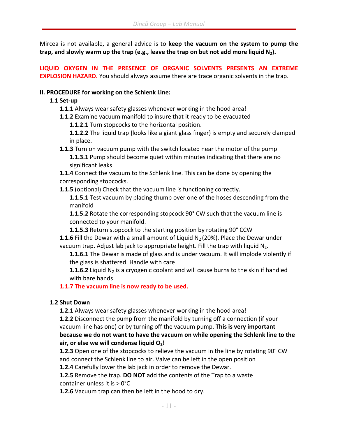Mircea is not available, a general advice is to keep the vacuum on the system to pump the trap, and slowly warm up the trap (e.g., leave the trap on but not add more liquid  $N_2$ ).

LIQUID OXYGEN IN THE PRESENCE OF ORGANIC SOLVENTS PRESENTS AN EXTREME EXPLOSION HAZARD. You should always assume there are trace organic solvents in the trap.

#### II. PROCEDURE for working on the Schlenk Line:

#### 1.1 Set-up

- 1.1.1 Always wear safety glasses whenever working in the hood area!
- **1.1.2** Examine vacuum manifold to insure that it ready to be evacuated
	- 1.1.2.1 Turn stopcocks to the horizontal position.

**1.1.2.2** The liquid trap {looks like a giant glass finger} is empty and securely clamped in place.

**1.1.3** Turn on vacuum pump with the switch located near the motor of the pump **1.1.3.1** Pump should become quiet within minutes indicating that there are no significant leaks

- 1.1.4 Connect the vacuum to the Schlenk line. This can be done by opening the corresponding stopcocks.
- **1.1.5** (optional) Check that the vacuum line is functioning correctly.

1.1.5.1 Test vacuum by placing thumb over one of the hoses descending from the manifold

**1.1.5.2** Rotate the corresponding stopcock 90° CW such that the vacuum line is connected to your manifold.

1.1.5.3 Return stopcock to the starting position by rotating 90° CCW

**1.1.6** Fill the Dewar with a small amount of Liquid  $N_2$  (20%). Place the Dewar under vacuum trap. Adjust lab jack to appropriate height. Fill the trap with liquid  $N_2$ .

**1.1.6.1** The Dewar is made of glass and is under vacuum. It will implode violently if the glass is shattered. Handle with care

**1.1.6.2** Liquid  $N_2$  is a cryogenic coolant and will cause burns to the skin if handled with bare hands

#### 1.1.7 The vacuum line is now ready to be used.

#### 1.2 Shut Down

**1.2.1** Always wear safety glasses whenever working in the hood area!

1.2.2 Disconnect the pump from the manifold by turning off a connection (if your vacuum line has one) or by turning off the vacuum pump. This is very important because we do not want to have the vacuum on while opening the Schlenk line to the air, or else we will condense liquid  $O<sub>2</sub>$ !

**1.2.3** Open one of the stopcocks to relieve the vacuum in the line by rotating 90° CW and connect the Schlenk line to air. Valve can be left in the open position

1.2.4 Carefully lower the lab jack in order to remove the Dewar.

**1.2.5** Remove the trap. **DO NOT** add the contents of the Trap to a waste container unless it is > 0°C

1.2.6 Vacuum trap can then be left in the hood to dry.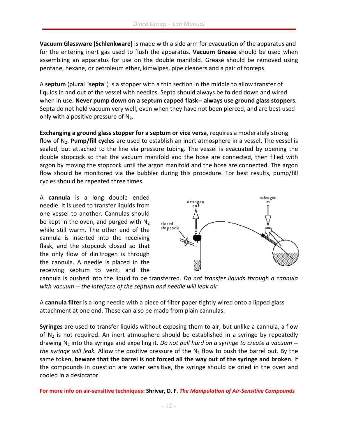Vacuum Glassware (Schlenkware) is made with a side arm for evacuation of the apparatus and for the entering inert gas used to flush the apparatus. Vacuum Grease should be used when assembling an apparatus for use on the double manifold. Grease should be removed using pentane, hexane, or petroleum ether, kimwipes, pipe cleaners and a pair of forceps.

A septum (plural "septa") is a stopper with a thin section in the middle to allow transfer of liquids in and out of the vessel with needles. Septa should always be folded down and wired when in use. Never pump down on a septum capped flask-- always use ground glass stoppers. Septa do not hold vacuum very well, even when they have not been pierced, and are best used only with a positive pressure of  $N_2$ .

Exchanging a ground glass stopper for a septum or vice versa, requires a moderately strong flow of  $N_2$ . Pump/fill cycles are used to establish an inert atmosphere in a vessel. The vessel is sealed, but attached to the line via pressure tubing. The vessel is evacuated by opening the double stopcock so that the vacuum manifold and the hose are connected, then filled with argon by moving the stopcock until the argon manifold and the hose are connected. The argon flow should be monitored via the bubbler during this procedure. For best results, pump/fill cycles should be repeated three times.

A cannula is a long double ended needle. It is used to transfer liquids from one vessel to another. Cannulas should be kept in the oven, and purged with  $N_2$ while still warm. The other end of the cannula is inserted into the receiving flask, and the stopcock closed so that the only flow of dinitrogen is through the cannula. A needle is placed in the receiving septum to vent, and the



cannula is pushed into the liquid to be transferred. Do not transfer liquids through a cannula with vacuum -- the interface of the septum and needle will leak air.

A cannula filter is a long needle with a piece of filter paper tightly wired onto a lipped glass attachment at one end. These can also be made from plain cannulas.

Syringes are used to transfer liquids without exposing them to air, but unlike a cannula, a flow of  $N<sub>2</sub>$  is not required. An inert atmosphere should be established in a syringe by repeatedly drawing  $N_2$  into the syringe and expelling it. Do not pull hard on a syringe to create a vacuum  $$ the syringe will leak. Allow the positive pressure of the  $N_2$  flow to push the barrel out. By the same token, beware that the barrel is not forced all the way out of the syringe and broken. If the compounds in question are water sensitive, the syringe should be dried in the oven and cooled in a desiccator.

For more info on air-sensitive techniques: Shriver, D. F. The Manipulation of Air-Sensitive Compounds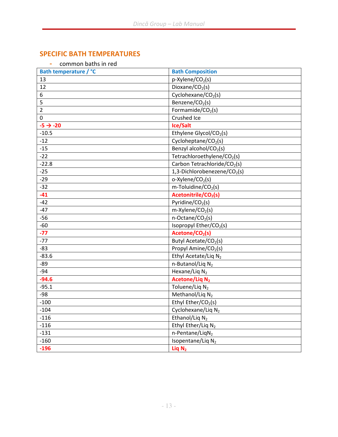### SPECIFIC BATH TEMPERATURES

| common baths in red |  |  |
|---------------------|--|--|
|                     |  |  |

| Bath temperature / °C | <b>Bath Composition</b>                  |  |
|-----------------------|------------------------------------------|--|
| 13                    | p-Xylene/CO <sub>2</sub> (s)             |  |
| 12                    | Dioxane/CO <sub>2</sub> (s)              |  |
| 6                     | Cyclohexane/CO <sub>2</sub> (s)          |  |
| 5                     | Benzene/CO <sub>2</sub> (s)              |  |
| $\overline{2}$        | Formamide/ $CO2(s)$                      |  |
| $\Omega$              | Crushed Ice                              |  |
| $-5 \rightarrow -20$  | Ice/Salt                                 |  |
| $-10.5$               | Ethylene Glycol/CO <sub>2</sub> (s)      |  |
| $-12$                 | Cycloheptane/CO <sub>2</sub> (s)         |  |
| $-15$                 | Benzyl alcohol/CO <sub>2</sub> (s)       |  |
| $-22$                 | Tetrachloroethylene/CO <sub>2</sub> (s)  |  |
| $-22.8$               | Carbon Tetrachloride/CO <sub>2</sub> (s) |  |
| $-25$                 | 1,3-Dichlorobenezene/CO <sub>2</sub> (s) |  |
| $-29$                 | o-Xylene/CO <sub>2</sub> (s)             |  |
| $-32$                 | $m$ -Toluidine/CO <sub>2</sub> (s)       |  |
| $-41$                 | Acetonitrile/CO <sub>2</sub> (s)         |  |
| $-42$                 | Pyridine/ $CO2(s)$                       |  |
| $-47$                 | $m$ -Xylene/CO <sub>2</sub> (s)          |  |
| $-56$                 | n-Octane/CO <sub>2</sub> (s)             |  |
| $-60$                 | Isopropyl Ether/CO <sub>2</sub> (s)      |  |
| $-77$                 | Acetone/CO <sub>2</sub> (s)              |  |
| $-77$                 | Butyl Acetate/CO <sub>2</sub> (s)        |  |
| $-83$                 | Propyl Amine/CO <sub>2</sub> (s)         |  |
| $-83.6$               | Ethyl Acetate/Liq N <sub>2</sub>         |  |
| $-89$                 | n-Butanol/Liq N <sub>2</sub>             |  |
| $-94$                 | Hexane/Liq $N_2$                         |  |
| $-94.6$               | <b>Acetone/Liq N2</b>                    |  |
| $-95.1$               | Toluene/Liq N <sub>2</sub>               |  |
| $-98$                 | Methanol/Liq N <sub>2</sub>              |  |
| $-100$                | Ethyl Ether/CO <sub>2</sub> (s)          |  |
| $-104$                | Cyclohexane/Liq N <sub>2</sub>           |  |
| $-116$                | Ethanol/Liq N <sub>2</sub>               |  |
| $-116$                | Ethyl Ether/Liq N2                       |  |
| $-131$                | n-Pentane/LiqN <sub>2</sub>              |  |
| $-160$                | Isopentane/Liq N <sub>2</sub>            |  |
| $-196$                | Liq $N_2$                                |  |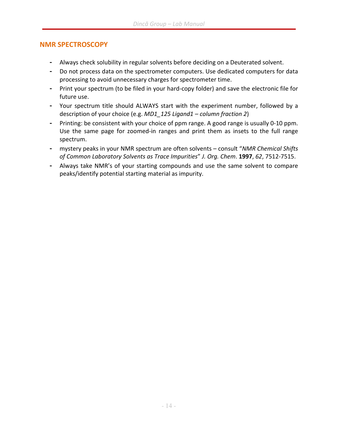### NMR SPECTROSCOPY

- Always check solubility in regular solvents before deciding on a Deuterated solvent.
- Do not process data on the spectrometer computers. Use dedicated computers for data processing to avoid unnecessary charges for spectrometer time.
- Print your spectrum (to be filed in your hard-copy folder) and save the electronic file for future use.
- Your spectrum title should ALWAYS start with the experiment number, followed by a description of your choice (e.g. MD1 125 Ligand1 – column fraction 2)
- Printing: be consistent with your choice of ppm range. A good range is usually 0-10 ppm. Use the same page for zoomed-in ranges and print them as insets to the full range spectrum.
- mystery peaks in your NMR spectrum are often solvents consult "NMR Chemical Shifts of Common Laboratory Solvents as Trace Impurities" J. Org. Chem. 1997, 62, 7512-7515.
- Always take NMR's of your starting compounds and use the same solvent to compare peaks/identify potential starting material as impurity.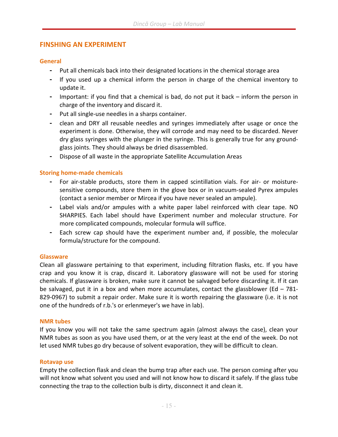#### FINSHING AN EXPERIMENT

#### **General**

- Put all chemicals back into their designated locations in the chemical storage area
- If you used up a chemical inform the person in charge of the chemical inventory to update it.
- Important: if you find that a chemical is bad, do not put it back inform the person in charge of the inventory and discard it.
- Put all single-use needles in a sharps container.
- clean and DRY all reusable needles and syringes immediately after usage or once the experiment is done. Otherwise, they will corrode and may need to be discarded. Never dry glass syringes with the plunger in the syringe. This is generally true for any groundglass joints. They should always be dried disassembled.
- Dispose of all waste in the appropriate Satellite Accumulation Areas

#### Storing home-made chemicals

- For air-stable products, store them in capped scintillation vials. For air- or moisturesensitive compounds, store them in the glove box or in vacuum-sealed Pyrex ampules (contact a senior member or Mircea if you have never sealed an ampule).
- Label vials and/or ampules with a white paper label reinforced with clear tape. NO SHARPIES. Each label should have Experiment number and molecular structure. For more complicated compounds, molecular formula will suffice.
- Each screw cap should have the experiment number and, if possible, the molecular formula/structure for the compound.

#### **Glassware**

Clean all glassware pertaining to that experiment, including filtration flasks, etc. If you have crap and you know it is crap, discard it. Laboratory glassware will not be used for storing chemicals. If glassware is broken, make sure it cannot be salvaged before discarding it. If it can be salvaged, put it in a box and when more accumulates, contact the glassblower (Ed  $-781$ -829-0967) to submit a repair order. Make sure it is worth repairing the glassware (i.e. it is not one of the hundreds of r.b.'s or erlenmeyer's we have in lab).

#### NMR tubes

If you know you will not take the same spectrum again (almost always the case), clean your NMR tubes as soon as you have used them, or at the very least at the end of the week. Do not let used NMR tubes go dry because of solvent evaporation, they will be difficult to clean.

#### Rotavap use

Empty the collection flask and clean the bump trap after each use. The person coming after you will not know what solvent you used and will not know how to discard it safely. If the glass tube connecting the trap to the collection bulb is dirty, disconnect it and clean it.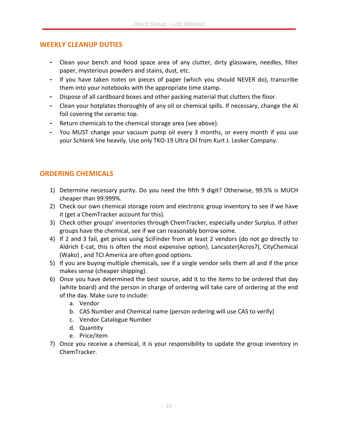#### WEEKLY CLEANUP DUTIES

- Clean your bench and hood space area of any clutter, dirty glassware, needles, filter paper, mysterious powders and stains, dust, etc.
- If you have taken notes on pieces of paper (which you should NEVER do), transcribe them into your notebooks with the appropriate time stamp.
- Dispose of all cardboard boxes and other packing material that clutters the floor.
- Clean your hotplates thoroughly of any oil or chemical spills. If necessary, change the Al foil covering the ceramic top.
- Return chemicals to the chemical storage area (see above).
- You MUST change your vacuum pump oil every 3 months, or every month if you use your Schlenk line heavily. Use only TKO-19 Ultra Oil from Kurt J. Lesker Company.

### ORDERING CHEMICALS

- 1) Determine necessary purity. Do you need the fifth 9 digit? Otherwise, 99.5% is MUCH cheaper than 99.999%.
- 2) Check our own chemical storage room and electronic group inventory to see if we have it (get a ChemTracker account for this).
- 3) Check other groups' inventories through ChemTracker, especially under Surplus. If other groups have the chemical, see if we can reasonably borrow some.
- 4) If 2 and 3 fail, get prices using SciFinder from at least 2 vendors (do not go directly to Aldrich E-cat, this is often the most expensive option). Lancaster(Acros?), CityChemical (Wako) , and TCI America are often good options.
- 5) If you are buying multiple chemicals, see if a single vendor sells them all and if the price makes sense (cheaper shipping).
- 6) Once you have determined the best source, add it to the items to be ordered that day (white board) and the person in charge of ordering will take care of ordering at the end of the day. Make sure to include:
	- a. Vendor
	- b. CAS Number and Chemical name (person ordering will use CAS to verify)
	- c. Vendor Catalogue Number
	- d. Quantity
	- e. Price/item
- 7) Once you receive a chemical, it is your responsibility to update the group inventory in ChemTracker.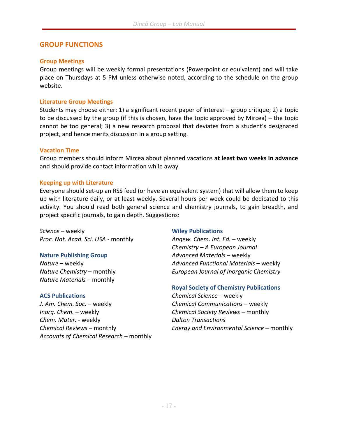#### GROUP FUNCTIONS

#### Group Meetings

Group meetings will be weekly formal presentations (Powerpoint or equivalent) and will take place on Thursdays at 5 PM unless otherwise noted, according to the schedule on the group website.

#### Literature Group Meetings

Students may choose either: 1) a significant recent paper of interest – group critique; 2) a topic to be discussed by the group (if this is chosen, have the topic approved by Mircea) – the topic cannot be too general; 3) a new research proposal that deviates from a student's designated project, and hence merits discussion in a group setting.

#### Vacation Time

Group members should inform Mircea about planned vacations at least two weeks in advance and should provide contact information while away.

#### Keeping up with Literature

Everyone should set-up an RSS feed (or have an equivalent system) that will allow them to keep up with literature daily, or at least weekly. Several hours per week could be dedicated to this activity. You should read both general science and chemistry journals, to gain breadth, and project specific journals, to gain depth. Suggestions:

Science – weekly **Example 20** Science – weekly Proc. Nat. Acad. Sci. USA - monthly Angew. Chem. Int. Ed. - weekly

Nature Materials – monthly

J. Am. Chem. Soc. – weekly extended the Chemical Communications – weekly Inorg. Chem. – weekly **Example 20** Chemical Society Reviews – monthly Chem. Mater. - weekly and the control of Dalton Transactions Accounts of Chemical Research – monthly

Chemistry – A European Journal Nature Publishing Group **Advanced Materials – weekly** Nature – weekly Advanced Functional Materials – weekly Nature Chemistry – monthly European Journal of Inorganic Chemistry

#### Royal Society of Chemistry Publications

ACS Publications Chemical Science – weekly Chemical Reviews – monthly Energy and Environmental Science – monthly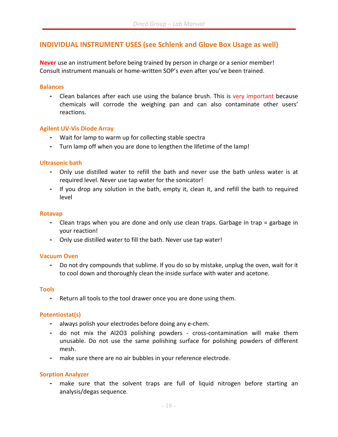### INDIVIDUAL INSTRUMENT USES (see Schlenk and Glove Box Usage as well)

Never use an instrument before being trained by person in charge or a senior member! Consult instrument manuals or home-written SOP's even after you've been trained.

#### **Balances**

- Clean balances after each use using the balance brush. This is very important because chemicals will corrode the weighing pan and can also contaminate other users' reactions.

#### Agilent UV-Vis Diode Array

- Wait for lamp to warm up for collecting stable spectra
- Turn lamp off when you are done to lengthen the lifetime of the lamp!

#### Ultrasonic bath

- Only use distilled water to refill the bath and never use the bath unless water is at required level. Never use tap water for the sonicator!
- If you drop any solution in the bath, empty it, clean it, and refill the bath to required level

#### Rotavap

- Clean traps when you are done and only use clean traps. Garbage in trap = garbage in your reaction!
- Only use distilled water to fill the bath. Never use tap water!

#### Vacuum Oven

- Do not dry compounds that sublime. If you do so by mistake, unplug the oven, wait for it to cool down and thoroughly clean the inside surface with water and acetone.

#### Tools

- Return all tools to the tool drawer once you are done using them.

#### Potentiostat(s)

- always polish your electrodes before doing any e-chem.
- do not mix the Al2O3 polishing powders cross-contamination will make them unusable. Do not use the same polishing surface for polishing powders of different mesh.
- make sure there are no air bubbles in your reference electrode.

#### Sorption Analyzer

make sure that the solvent traps are full of liquid nitrogen before starting an analysis/degas sequence.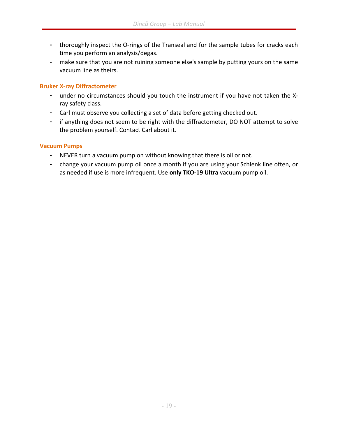- thoroughly inspect the O-rings of the Transeal and for the sample tubes for cracks each time you perform an analysis/degas.
- make sure that you are not ruining someone else's sample by putting yours on the same vacuum line as theirs.

#### Bruker X-ray Diffractometer

- under no circumstances should you touch the instrument if you have not taken the Xray safety class.
- Carl must observe you collecting a set of data before getting checked out.
- if anything does not seem to be right with the diffractometer, DO NOT attempt to solve the problem yourself. Contact Carl about it.

#### Vacuum Pumps

- NEVER turn a vacuum pump on without knowing that there is oil or not.
- change your vacuum pump oil once a month if you are using your Schlenk line often, or as needed if use is more infrequent. Use only TKO-19 Ultra vacuum pump oil.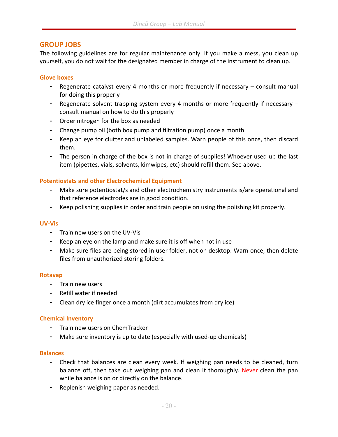#### GROUP JOBS

The following guidelines are for regular maintenance only. If you make a mess, you clean up yourself, you do not wait for the designated member in charge of the instrument to clean up.

#### Glove boxes

- Regenerate catalyst every 4 months or more frequently if necessary consult manual for doing this properly
- Regenerate solvent trapping system every 4 months or more frequently if necessary consult manual on how to do this properly
- Order nitrogen for the box as needed
- Change pump oil (both box pump and filtration pump) once a month.
- Keep an eye for clutter and unlabeled samples. Warn people of this once, then discard them.
- The person in charge of the box is not in charge of supplies! Whoever used up the last item (pipettes, vials, solvents, kimwipes, etc) should refill them. See above.

#### Potentiostats and other Electrochemical Equipment

- Make sure potentiostat/s and other electrochemistry instruments is/are operational and that reference electrodes are in good condition.
- Keep polishing supplies in order and train people on using the polishing kit properly.

#### UV-Vis

- Train new users on the UV-Vis
- Keep an eye on the lamp and make sure it is off when not in use
- Make sure files are being stored in user folder, not on desktop. Warn once, then delete files from unauthorized storing folders.

#### Rotavap

- Train new users
- Refill water if needed
- Clean dry ice finger once a month (dirt accumulates from dry ice)

#### Chemical Inventory

- Train new users on ChemTracker
- Make sure inventory is up to date (especially with used-up chemicals)

#### **Balances**

- Check that balances are clean every week. If weighing pan needs to be cleaned, turn balance off, then take out weighing pan and clean it thoroughly. Never clean the pan while balance is on or directly on the balance.
- Replenish weighing paper as needed.